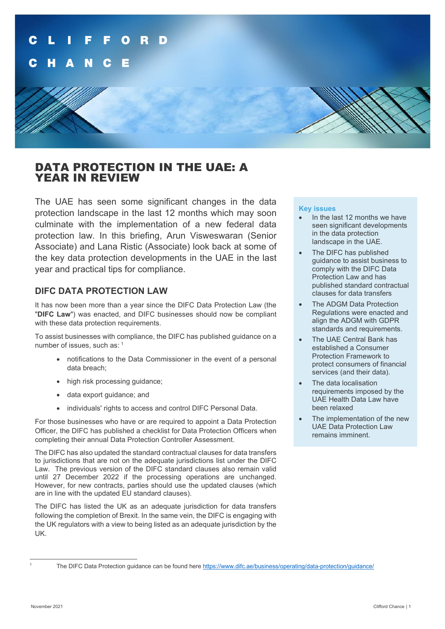

# DATA PROTECTION IN THE UAE: A YEAR IN REVIEW

The UAE has seen some significant changes in the data protection landscape in the last 12 months which may soon culminate with the implementation of a new federal data protection law. In this briefing, Arun Visweswaran (Senior Associate) and Lana Ristic (Associate) look back at some of the key data protection developments in the UAE in the last year and practical tips for compliance.

## **DIFC DATA PROTECTION LAW**

It has now been more than a year since the DIFC Data Protection Law (the "**DIFC Law**") was enacted, and DIFC businesses should now be compliant with these data protection requirements.

To assist businesses with compliance, the DIFC has published guidance on a number of issues, such as: [1](#page-0-0)

- notifications to the Data Commissioner in the event of a personal data breach;
- high risk processing quidance:
- data export guidance; and
- individuals' rights to access and control DIFC Personal Data.

For those businesses who have or are required to appoint a Data Protection Officer, the DIFC has published a checklist for Data Protection Officers when completing their annual Data Protection Controller Assessment.

The DIFC has also updated the standard contractual clauses for data transfers to jurisdictions that are not on the adequate jurisdictions list under the DIFC Law. The previous version of the DIFC standard clauses also remain valid until 27 December 2022 if the processing operations are unchanged. However, for new contracts, parties should use the updated clauses (which are in line with the updated EU standard clauses).

The DIFC has listed the UK as an adequate jurisdiction for data transfers following the completion of Brexit. In the same vein, the DIFC is engaging with the UK regulators with a view to being listed as an adequate jurisdiction by the UK.

#### **Key issues**

- In the last 12 months we have seen significant developments in the data protection landscape in the UAE.
- The DIFC has published guidance to assist business to comply with the DIFC Data Protection Law and has published standard contractual clauses for data transfers
- The ADGM Data Protection Regulations were enacted and align the ADGM with GDPR standards and requirements.
- The UAE Central Bank has established a Consumer Protection Framework to protect consumers of financial services (and their data).
- The data localisation requirements imposed by the UAE Health Data Law have been relaxed
- The implementation of the new UAE Data Protection Law remains imminent.

<span id="page-0-0"></span>

The DIFC Data Protection guidance can be found here <https://www.difc.ae/business/operating/data-protection/guidance/>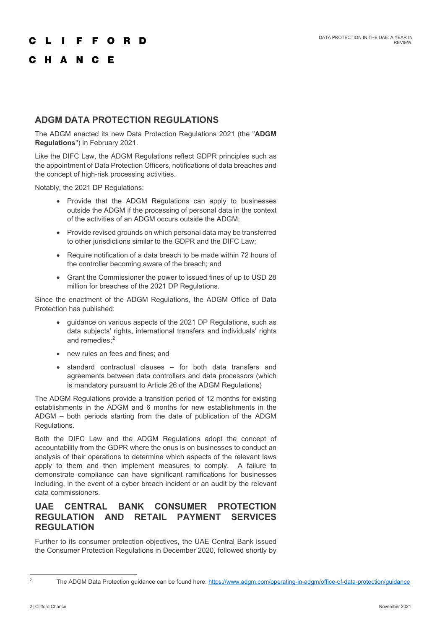#### F. F O R D

# C H A N C E

# **ADGM DATA PROTECTION REGULATIONS**

The ADGM enacted its new Data Protection Regulations 2021 (the "**ADGM Regulations**") in February 2021.

Like the DIFC Law, the ADGM Regulations reflect GDPR principles such as the appointment of Data Protection Officers, notifications of data breaches and the concept of high-risk processing activities.

Notably, the 2021 DP Regulations:

- Provide that the ADGM Regulations can apply to businesses outside the ADGM if the processing of personal data in the context of the activities of an ADGM occurs outside the ADGM;
- Provide revised grounds on which personal data may be transferred to other jurisdictions similar to the GDPR and the DIFC Law;
- Require notification of a data breach to be made within 72 hours of the controller becoming aware of the breach; and
- Grant the Commissioner the power to issued fines of up to USD 28 million for breaches of the 2021 DP Regulations.

Since the enactment of the ADGM Regulations, the ADGM Office of Data Protection has published:

- guidance on various aspects of the 2021 DP Regulations, such as data subjects' rights, international transfers and individuals' rights and remedies:<sup>[2](#page-1-0)</sup>
- new rules on fees and fines; and
- standard contractual clauses for both data transfers and agreements between data controllers and data processors (which is mandatory pursuant to Article 26 of the ADGM Regulations)

The ADGM Regulations provide a transition period of 12 months for existing establishments in the ADGM and 6 months for new establishments in the ADGM – both periods starting from the date of publication of the ADGM Regulations.

Both the DIFC Law and the ADGM Regulations adopt the concept of accountability from the GDPR where the onus is on businesses to conduct an analysis of their operations to determine which aspects of the relevant laws apply to them and then implement measures to comply. A failure to demonstrate compliance can have significant ramifications for businesses including, in the event of a cyber breach incident or an audit by the relevant data commissioners.

# **UAE CENTRAL BANK CONSUMER PROTECTION REGULATION AND RETAIL PAYMENT SERVICES REGULATION**

Further to its consumer protection objectives, the UAE Central Bank issued the Consumer Protection Regulations in December 2020, followed shortly by

<span id="page-1-0"></span>

<sup>&</sup>lt;sup>2</sup> The ADGM Data Protection guidance can be found here:<https://www.adgm.com/operating-in-adgm/office-of-data-protection/guidance>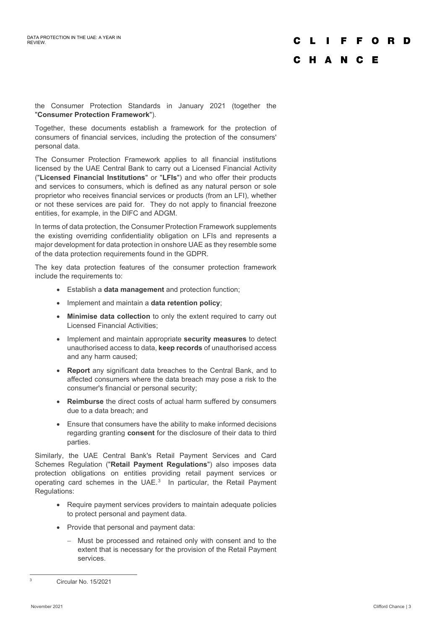### **FFORD**  $\mathbf{I}$

# C H A N C E

the Consumer Protection Standards in January 2021 (together the "**Consumer Protection Framework**").

Together, these documents establish a framework for the protection of consumers of financial services, including the protection of the consumers' personal data.

The Consumer Protection Framework applies to all financial institutions licensed by the UAE Central Bank to carry out a Licensed Financial Activity ("**Licensed Financial Institutions**" or "**LFIs**") and who offer their products and services to consumers, which is defined as any natural person or sole proprietor who receives financial services or products (from an LFI), whether or not these services are paid for. They do not apply to financial freezone entities, for example, in the DIFC and ADGM.

In terms of data protection, the Consumer Protection Framework supplements the existing overriding confidentiality obligation on LFIs and represents a major development for data protection in onshore UAE as they resemble some of the data protection requirements found in the GDPR.

The key data protection features of the consumer protection framework include the requirements to:

- Establish a **data management** and protection function;
- Implement and maintain a **data retention policy**;
- **Minimise data collection** to only the extent required to carry out Licensed Financial Activities;
- Implement and maintain appropriate **security measures** to detect unauthorised access to data, **keep records** of unauthorised access and any harm caused;
- **Report** any significant data breaches to the Central Bank, and to affected consumers where the data breach may pose a risk to the consumer's financial or personal security;
- **Reimburse** the direct costs of actual harm suffered by consumers due to a data breach; and
- Ensure that consumers have the ability to make informed decisions regarding granting **consent** for the disclosure of their data to third parties.

Similarly, the UAE Central Bank's Retail Payment Services and Card Schemes Regulation ("**Retail Payment Regulations**") also imposes data protection obligations on entities providing retail payment services or operating card schemes in the UAE.<sup>[3](#page-2-0)</sup> In particular, the Retail Payment Regulations:

- Require payment services providers to maintain adequate policies to protect personal and payment data.
- Provide that personal and payment data:
	- − Must be processed and retained only with consent and to the extent that is necessary for the provision of the Retail Payment services.

<span id="page-2-0"></span><sup>3</sup> Circular No. 15/2021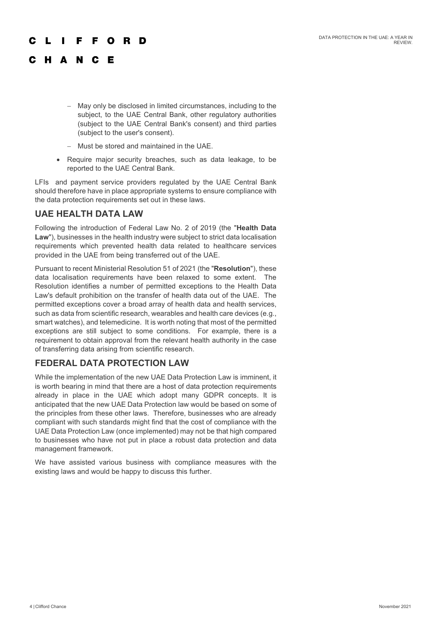#### **FORD** F.

# C H A N C E

- − May only be disclosed in limited circumstances, including to the subject, to the UAE Central Bank, other regulatory authorities (subject to the UAE Central Bank's consent) and third parties (subject to the user's consent).
- − Must be stored and maintained in the UAE.
- Require major security breaches, such as data leakage, to be reported to the UAE Central Bank.

LFIs and payment service providers regulated by the UAE Central Bank should therefore have in place appropriate systems to ensure compliance with the data protection requirements set out in these laws.

## **UAE HEALTH DATA LAW**

Following the introduction of Federal Law No. 2 of 2019 (the "**Health Data Law**"), businesses in the health industry were subject to strict data localisation requirements which prevented health data related to healthcare services provided in the UAE from being transferred out of the UAE.

Pursuant to recent Ministerial Resolution 51 of 2021 (the "**Resolution**"), these data localisation requirements have been relaxed to some extent. The Resolution identifies a number of permitted exceptions to the Health Data Law's default prohibition on the transfer of health data out of the UAE. The permitted exceptions cover a broad array of health data and health services, such as data from scientific research, wearables and health care devices (e.g., smart watches), and telemedicine. It is worth noting that most of the permitted exceptions are still subject to some conditions. For example, there is a requirement to obtain approval from the relevant health authority in the case of transferring data arising from scientific research.

## **FEDERAL DATA PROTECTION LAW**

While the implementation of the new UAE Data Protection Law is imminent, it is worth bearing in mind that there are a host of data protection requirements already in place in the UAE which adopt many GDPR concepts. It is anticipated that the new UAE Data Protection law would be based on some of the principles from these other laws. Therefore, businesses who are already compliant with such standards might find that the cost of compliance with the UAE Data Protection Law (once implemented) may not be that high compared to businesses who have not put in place a robust data protection and data management framework.

We have assisted various business with compliance measures with the existing laws and would be happy to discuss this further.